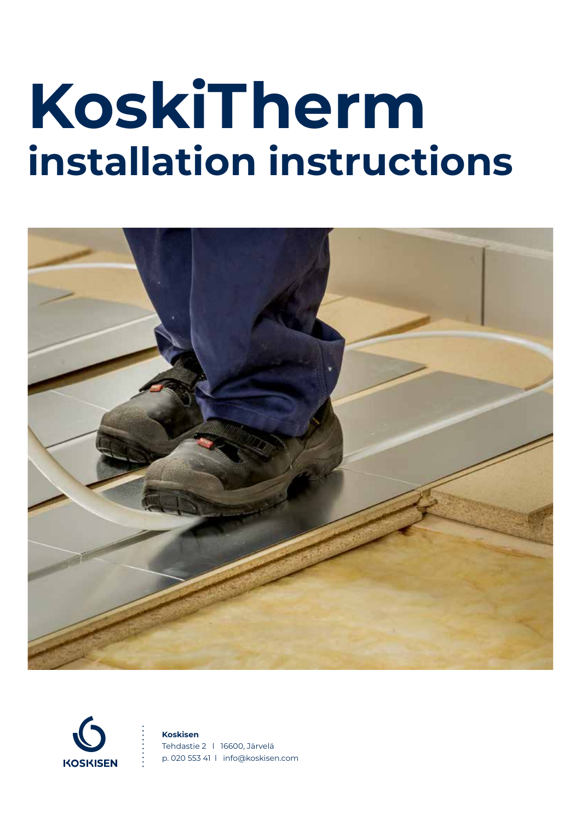# **KoskiTherm installation instructions**





#### **Koskisen**

Tehdastie 2 l 16600, Järvelä p. 020 553 41 l info@koskisen.com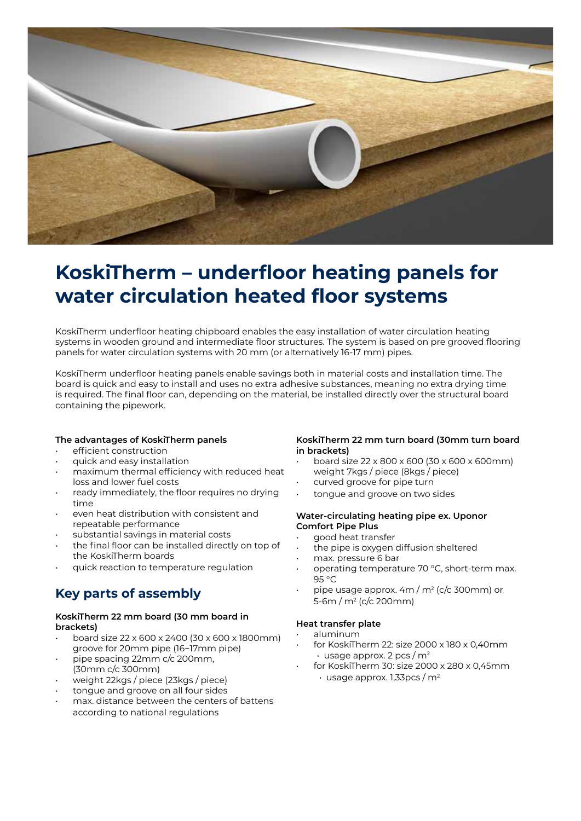

## **KoskiTherm – underfloor heating panels for water circulation heated floor systems**

KoskiTherm underfloor heating chipboard enables the easy installation of water circulation heating systems in wooden ground and intermediate floor structures. The system is based on pre grooved flooring panels for water circulation systems with 20 mm (or alternatively 16-17 mm) pipes.

KoskiTherm underfloor heating panels enable savings both in material costs and installation time. The board is quick and easy to install and uses no extra adhesive substances, meaning no extra drying time is required. The final floor can, depending on the material, be installed directly over the structural board containing the pipework.

#### **The advantages of KoskiTherm panels**

- efficient construction
- quick and easy installation
- maximum thermal efficiency with reduced heat loss and lower fuel costs
- ready immediately, the floor requires no drying time
- even heat distribution with consistent and repeatable performance
- substantial savings in material costs
- the final floor can be installed directly on top of the KoskiTherm boards
- quick reaction to temperature regulation

### **Key parts of assembly**

#### **KoskiTherm 22 mm board (30 mm board in brackets)**

- board size 22 x 600 x 2400 (30 x 600 x 1800mm) groove for 20mm pipe (16−17mm pipe)
- pipe spacing 22mm c/c 200mm, (30mm c/c 300mm)
- weight 22kgs / piece (23kgs / piece)
- tongue and groove on all four sides
- max. distance between the centers of battens according to national regulations

#### **KoskiTherm 22 mm turn board (30mm turn board in brackets)**

- board size 22 x 800 x 600 (30 x 600 x 600mm) weight 7kgs / piece (8kgs / piece)
- curved groove for pipe turn
- tongue and groove on two sides

#### **Water-circulating heating pipe ex. Uponor Comfort Pipe Plus**

- good heat transfer
- the pipe is oxygen diffusion sheltered
- max. pressure 6 bar
- operating temperature 70 °C, short-term max. 95 °C
- pipe usage approx. 4m / m<sup>2</sup> (c/c 300mm) or 5-6m / m2 (c/c 200mm)

#### **Heat transfer plate**

- aluminum
- for KoskiTherm 22: size 2000 x 180 x 0,40mm  $\cdot$  usage approx. 2 pcs / m<sup>2</sup>
- for KoskiTherm 30: size 2000 x 280 x 0,45mm  $\cdot$  usage approx. 1,33pcs / m<sup>2</sup>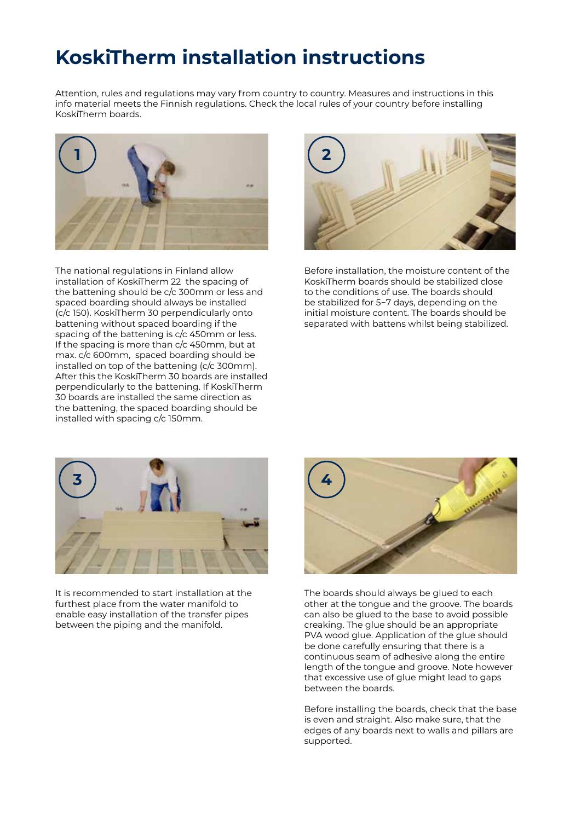## **KoskiTherm installation instructions**

Attention, rules and regulations may vary from country to country. Measures and instructions in this info material meets the Finnish regulations. Check the local rules of your country before installing KoskiTherm boards.



The national regulations in Finland allow installation of KoskiTherm 22 the spacing of the battening should be c/c 300mm or less and spaced boarding should always be installed (c/c 150). KoskiTherm 30 perpendicularly onto battening without spaced boarding if the spacing of the battening is c/c 450mm or less. If the spacing is more than c/c 450mm, but at max. c/c 600mm, spaced boarding should be installed on top of the battening (c/c 300mm). After this the KoskiTherm 30 boards are installed perpendicularly to the battening. If KoskiTherm 30 boards are installed the same direction as the battening, the spaced boarding should be installed with spacing c/c 150mm.



Before installation, the moisture content of the KoskiTherm boards should be stabilized close to the conditions of use. The boards should be stabilized for 5−7 days, depending on the initial moisture content. The boards should be separated with battens whilst being stabilized.



It is recommended to start installation at the furthest place from the water manifold to enable easy installation of the transfer pipes between the piping and the manifold.



The boards should always be glued to each other at the tongue and the groove. The boards can also be glued to the base to avoid possible creaking. The glue should be an appropriate PVA wood glue. Application of the glue should be done carefully ensuring that there is a continuous seam of adhesive along the entire length of the tongue and groove. Note however that excessive use of glue might lead to gaps between the boards.

Before installing the boards, check that the base is even and straight. Also make sure, that the edges of any boards next to walls and pillars are supported.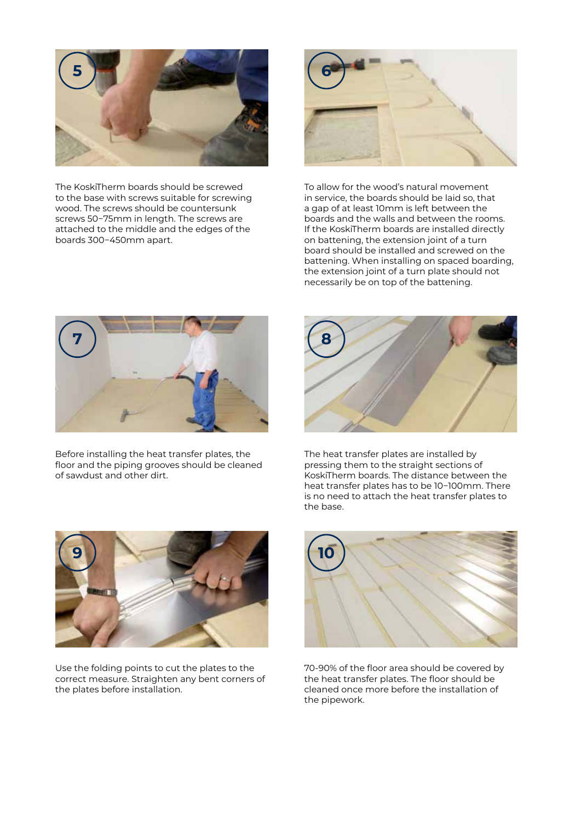

The KoskiTherm boards should be screwed to the base with screws suitable for screwing wood. The screws should be countersunk screws 50−75mm in length. The screws are attached to the middle and the edges of the boards 300−450mm apart.



To allow for the wood's natural movement in service, the boards should be laid so, that a gap of at least 10mm is left between the boards and the walls and between the rooms. If the KoskiTherm boards are installed directly on battening, the extension joint of a turn board should be installed and screwed on the battening. When installing on spaced boarding, the extension joint of a turn plate should not necessarily be on top of the battening.



Before installing the heat transfer plates, the floor and the piping grooves should be cleaned of sawdust and other dirt.



The heat transfer plates are installed by pressing them to the straight sections of KoskiTherm boards. The distance between the heat transfer plates has to be 10−100mm. There is no need to attach the heat transfer plates to the base.



Use the folding points to cut the plates to the correct measure. Straighten any bent corners of the plates before installation.



70-90% of the floor area should be covered by the heat transfer plates. The floor should be cleaned once more before the installation of the pipework.